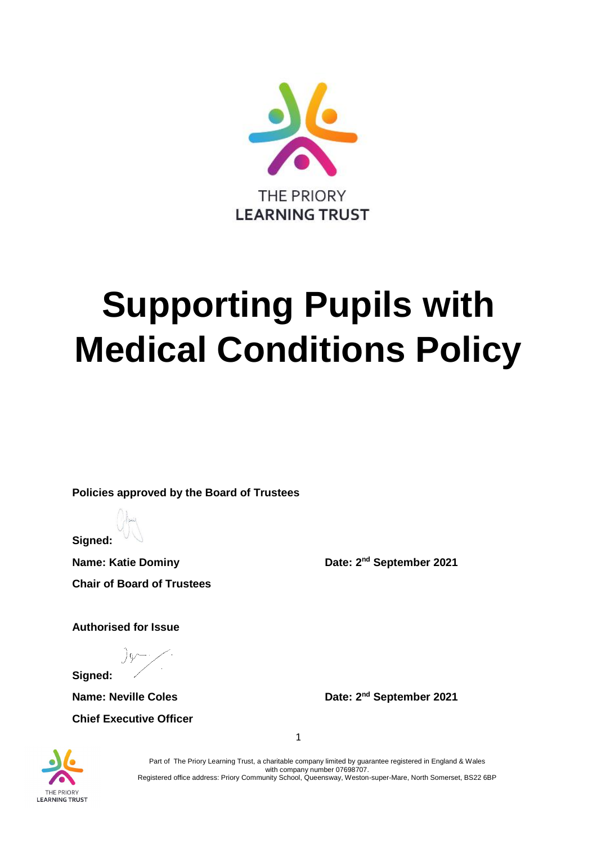

# **Supporting Pupils with Medical Conditions Policy**

**Policies approved by the Board of Trustees**

**Signed:**

**Name: Katie Dominy Date: 2<sup>nd</sup> September 2021 Chair of Board of Trustees** 

**Authorised for Issue**

**Signed:** 

**Chief Executive Officer**

**Name: Neville Coles Date: 2<sup>nd</sup> September 2021** 

THE PRIORY **LEARNING TRUST** 

Part of The Priory Learning Trust, a charitable company limited by guarantee registered in England & Wales with company number 07698707. Registered office address: Priory Community School, Queensway, Weston-super-Mare, North Somerset, BS22 6BP

1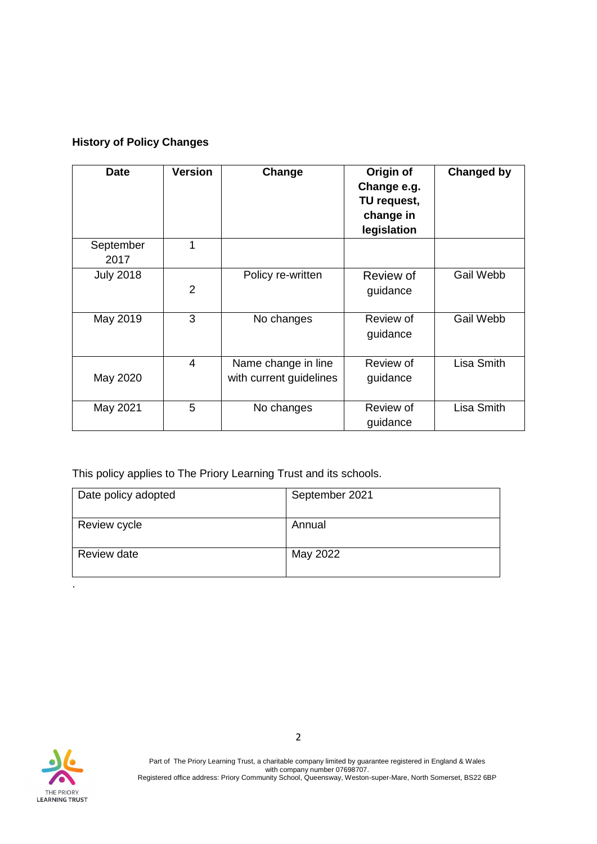## **History of Policy Changes**

| <b>Date</b>       | <b>Version</b> | Change                                         | Origin of<br>Change e.g.<br>TU request,<br>change in<br>legislation | <b>Changed by</b> |
|-------------------|----------------|------------------------------------------------|---------------------------------------------------------------------|-------------------|
| September<br>2017 | 1              |                                                |                                                                     |                   |
| <b>July 2018</b>  | $\overline{2}$ | Policy re-written                              | Review of<br>guidance                                               | Gail Webb         |
| May 2019          | 3              | No changes                                     | Review of<br>guidance                                               | Gail Webb         |
| May 2020          | $\overline{4}$ | Name change in line<br>with current guidelines | Review of<br>guidance                                               | Lisa Smith        |
| May 2021          | 5              | No changes                                     | Review of<br>guidance                                               | Lisa Smith        |

This policy applies to The Priory Learning Trust and its schools.

| Date policy adopted | September 2021 |
|---------------------|----------------|
| Review cycle        | Annual         |
| Review date         | May 2022       |



.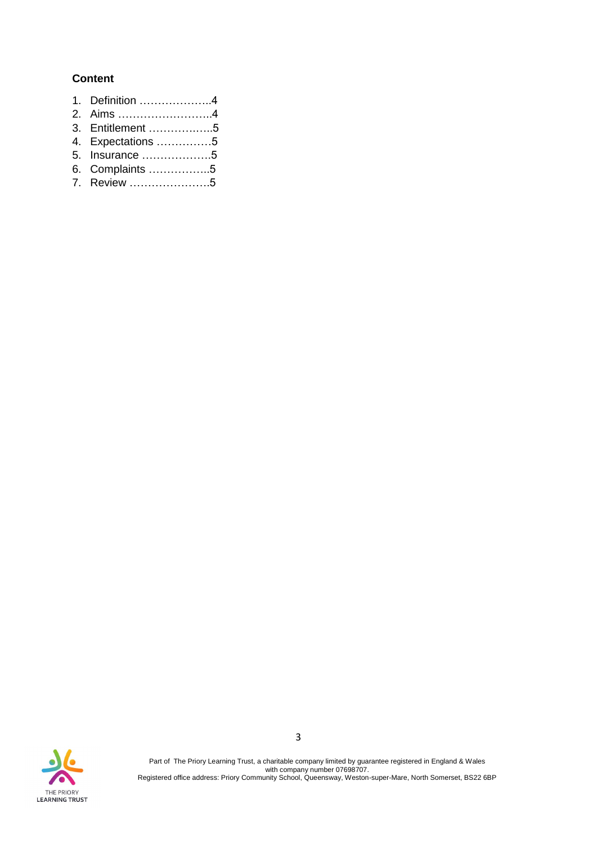#### **Content**

- 1. Definition ………………..4
- 2. Aims ……………………..4
- 3. Entitlement ………….…..5
- 4. Expectations ……………5
- 5. Insurance ……………….5
- 6. Complaints ……………..5
- 7. Review ………………….5

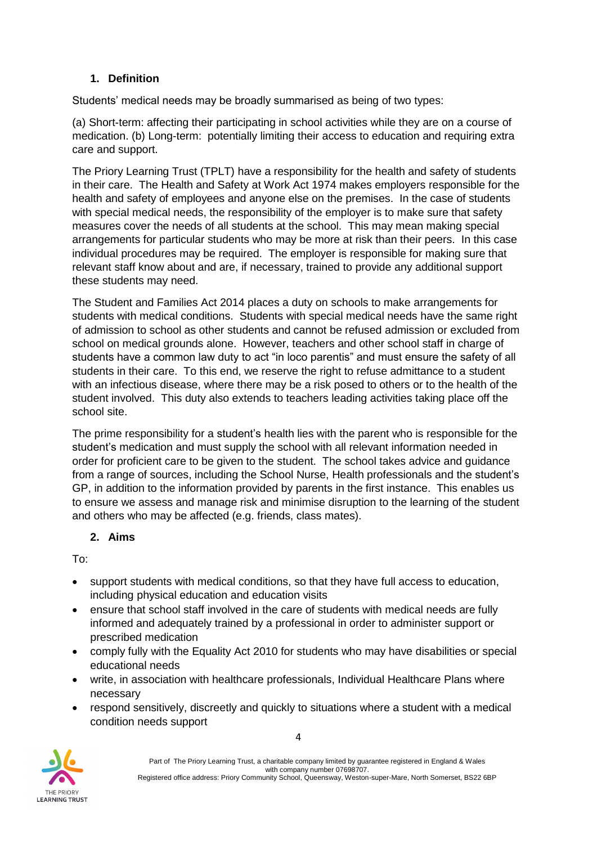## **1. Definition**

Students' medical needs may be broadly summarised as being of two types:

(a) Short-term: affecting their participating in school activities while they are on a course of medication. (b) Long-term: potentially limiting their access to education and requiring extra care and support.

The Priory Learning Trust (TPLT) have a responsibility for the health and safety of students in their care. The Health and Safety at Work Act 1974 makes employers responsible for the health and safety of employees and anyone else on the premises. In the case of students with special medical needs, the responsibility of the employer is to make sure that safety measures cover the needs of all students at the school. This may mean making special arrangements for particular students who may be more at risk than their peers. In this case individual procedures may be required. The employer is responsible for making sure that relevant staff know about and are, if necessary, trained to provide any additional support these students may need.

The Student and Families Act 2014 places a duty on schools to make arrangements for students with medical conditions. Students with special medical needs have the same right of admission to school as other students and cannot be refused admission or excluded from school on medical grounds alone. However, teachers and other school staff in charge of students have a common law duty to act "in loco parentis" and must ensure the safety of all students in their care. To this end, we reserve the right to refuse admittance to a student with an infectious disease, where there may be a risk posed to others or to the health of the student involved. This duty also extends to teachers leading activities taking place off the school site.

The prime responsibility for a student's health lies with the parent who is responsible for the student's medication and must supply the school with all relevant information needed in order for proficient care to be given to the student. The school takes advice and guidance from a range of sources, including the School Nurse, Health professionals and the student's GP, in addition to the information provided by parents in the first instance. This enables us to ensure we assess and manage risk and minimise disruption to the learning of the student and others who may be affected (e.g. friends, class mates).

#### **2. Aims**

To:

- support students with medical conditions, so that they have full access to education, including physical education and education visits
- ensure that school staff involved in the care of students with medical needs are fully informed and adequately trained by a professional in order to administer support or prescribed medication
- comply fully with the Equality Act 2010 for students who may have disabilities or special educational needs
- write, in association with healthcare professionals, Individual Healthcare Plans where necessary
- respond sensitively, discreetly and quickly to situations where a student with a medical condition needs support



Part of The Priory Learning Trust, a charitable company limited by guarantee registered in England & Wales with company number 07698707. Registered office address: Priory Community School, Queensway, Weston-super-Mare, North Somerset, BS22 6BP